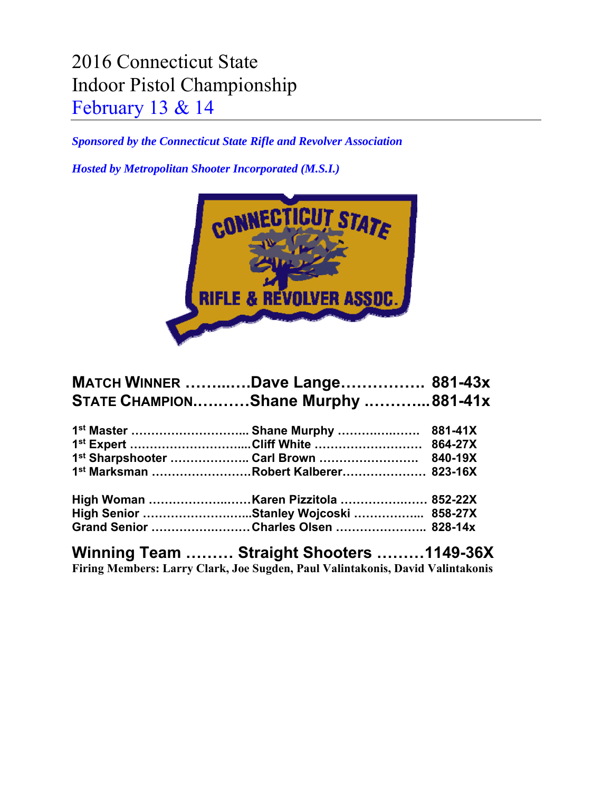## 2016 Connecticut State Indoor Pistol Championship February 13 & 14

*Sponsored by the Connecticut State Rifle and Revolver Association* 

*Hosted by Metropolitan Shooter Incorporated (M.S.I.)* 



| <b>MATCH WINNER Dave Lange 881-43x</b> |  |
|----------------------------------------|--|
| STATE CHAMPIONShane Murphy 881-41x     |  |
|                                        |  |
|                                        |  |
| 1st Sharpshooter  Carl Brown  840-19X  |  |
| 1st Marksman Robert Kalberer 823-16X   |  |
|                                        |  |
| High Senior Stanley Wojcoski  858-27X  |  |
| Grand Senior Charles Olsen  828-14x    |  |

**Winning Team ……… Straight Shooters ………1149-36X Firing Members: Larry Clark, Joe Sugden, Paul Valintakonis, David Valintakonis**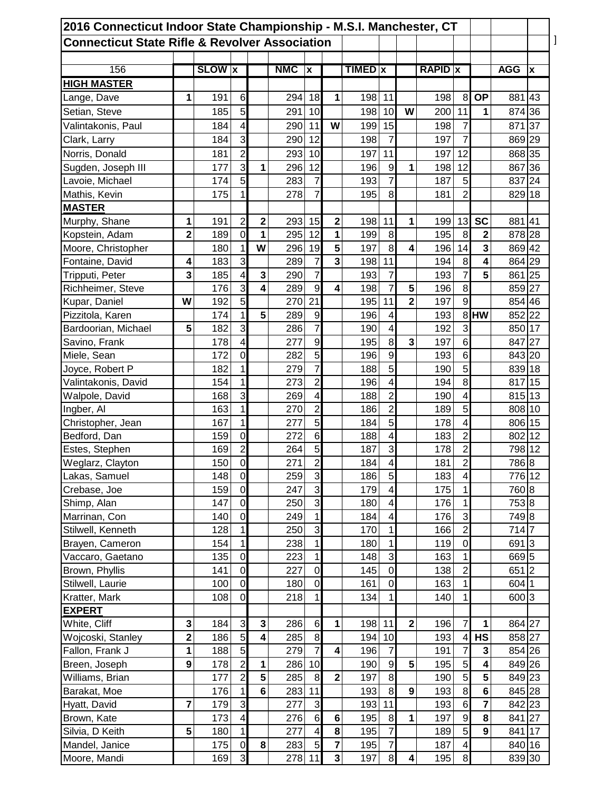| 2016 Connecticut Indoor State Championship - M.S.I. Manchester, CT |                         |               |                         |                |            |                         |             |                           |                         |                         |                |                |                  |            |    |
|--------------------------------------------------------------------|-------------------------|---------------|-------------------------|----------------|------------|-------------------------|-------------|---------------------------|-------------------------|-------------------------|----------------|----------------|------------------|------------|----|
| <b>Connecticut State Rifle &amp; Revolver Association</b>          |                         |               |                         |                |            |                         |             |                           |                         |                         |                |                |                  |            |    |
|                                                                    |                         |               |                         |                |            |                         |             |                           |                         |                         |                |                |                  |            |    |
| 156                                                                |                         | <b>SLOW</b> x |                         |                | <b>NMC</b> | $\boldsymbol{x}$        |             | <b>TIMED</b> <sub>x</sub> |                         |                         | <b>RAPID</b> x |                |                  | <b>AGG</b> | X  |
| <b>HIGH MASTER</b>                                                 |                         |               |                         |                |            |                         |             |                           |                         |                         |                |                |                  |            |    |
| Lange, Dave                                                        | 1                       | 191           | 6                       |                | 294        | 18                      | 1           | 198                       | 11                      |                         | 198            | 8              | <b>OP</b>        | 881 43     |    |
| Setian, Steve                                                      |                         | 185           | 5                       |                | 291        | 10                      |             | 198                       | 10                      | W                       | 200            | 11             | 1                | 874 36     |    |
| Valintakonis, Paul                                                 |                         | 184           | 4                       |                | 290        | 11                      | W           | 199                       | 15                      |                         | 198            | $\overline{7}$ |                  | 871 37     |    |
| Clark, Larry                                                       |                         | 184           | 3                       |                | 290        | 12                      |             | 198                       | $\overline{7}$          |                         | 197            | $\overline{7}$ |                  | 869 29     |    |
| Norris, Donald                                                     |                         | 181           | $\overline{2}$          |                | 293        | 10                      |             | 197                       | 11                      |                         | 197            | 12             |                  | 868 35     |    |
| Sugden, Joseph III                                                 |                         | 177           | ω                       | 1              | 296        | 12                      |             | 196                       | $\boldsymbol{9}$        | 1                       | 198            | 12             |                  | 867        | 36 |
| Lavoie, Michael                                                    |                         | 174           | 5                       |                | 283        | $\overline{7}$          |             | 193                       | $\overline{7}$          |                         | 187            | 5              |                  | 837        | 24 |
| Mathis, Kevin                                                      |                         | 175           | 1                       |                | 278        | $\overline{7}$          |             | 195                       | 8                       |                         | 181            | $\overline{2}$ |                  | 829 18     |    |
| <b>MASTER</b>                                                      |                         |               |                         |                |            |                         |             |                           |                         |                         |                |                |                  |            |    |
| Murphy, Shane                                                      | 1                       | 191           | $\overline{c}$          | $\mathbf 2$    | 293        | 15                      | $\mathbf 2$ | 198                       | 11                      | 1                       | 199            | 13             | <b>SC</b>        | 881 41     |    |
| Kopstein, Adam                                                     | $\overline{2}$          | 189           | $\overline{0}$          | 1              | 295        | 12                      | 1           | 199                       | 8                       |                         | 195            | 8              | $\overline{2}$   | 878 28     |    |
| Moore, Christopher                                                 |                         | 180           | 1                       | W              | 296        | 19                      | 5           | 197                       | 8                       | 4                       | 196            | 14             | 3                | 869 42     |    |
| Fontaine, David                                                    | 4                       | 183           | 3                       |                | 289        | $\overline{7}$          | 3           | 198                       | 11                      |                         | 194            | 8              | 4                | 864 29     |    |
| Tripputi, Peter                                                    | 3                       | 185           | $\overline{\mathbf{4}}$ | 3              | 290        | $\overline{7}$          |             | 193                       | $\overline{7}$          |                         | 193            | $\overline{7}$ | 5                | 861 25     |    |
| Richheimer, Steve                                                  |                         | 176           | 3                       | 4              | 289        | 9                       | 4           | 198                       | $\overline{7}$          | 5                       | 196            | 8              |                  | 859 27     |    |
| Kupar, Daniel                                                      | W                       | 192           | 5                       |                | 270        | 21                      |             | 195                       | 11                      | $\overline{\mathbf{2}}$ | 197            | $\overline{9}$ |                  | 854 46     |    |
|                                                                    |                         | 174           | 1                       | 5              |            | $9\,$                   |             |                           |                         |                         |                |                | 8HW              | 852 22     |    |
| Pizzitola, Karen                                                   |                         |               |                         |                | 289        |                         |             | 196                       | 4                       |                         | 193            |                |                  |            |    |
| Bardoorian, Michael                                                | 5                       | 182           | 3                       |                | 286        | $\overline{7}$          |             | 190                       | $\overline{\mathbf{4}}$ |                         | 192            | 3              |                  | 850 17     |    |
| Savino, Frank                                                      |                         | 178           | 4                       |                | 277        | $\boldsymbol{9}$        |             | 195                       | 8                       | 3                       | 197            | $6\phantom{1}$ |                  | 847 27     |    |
| Miele, Sean                                                        |                         | 172           | $\mathbf 0$             |                | 282        | 5                       |             | 196                       | $\boldsymbol{9}$        |                         | 193            | $6\phantom{1}$ |                  | 843 20     |    |
| Joyce, Robert P                                                    |                         | 182           | 1                       |                | 279        | $\overline{7}$          |             | 188                       | 5                       |                         | 190            | 5              |                  | 839 18     |    |
| Valintakonis, David                                                |                         | 154           | 1                       |                | 273        | $\overline{c}$          |             | 196                       | 4                       |                         | 194            | 8              |                  | 817        | 15 |
| Walpole, David                                                     |                         | 168           | 3                       |                | 269        | 4                       |             | 188                       | $\overline{2}$          |                         | 190            | $\overline{4}$ |                  | 815 13     |    |
| Ingber, Al                                                         |                         | 163           | 1                       |                | 270        | $\overline{2}$          |             | 186                       | $\overline{2}$          |                         | 189            | 5              |                  | 808 10     |    |
| Christopher, Jean                                                  |                         | 167           | 1                       |                | 277        | 5                       |             | 184                       | 5                       |                         | 178            | 4              |                  | 806 15     |    |
| Bedford, Dan                                                       |                         | 159           | $\mathbf 0$             |                | 272        | $\,6$                   |             | 188                       | 4                       |                         | 183            | $\overline{2}$ |                  | 802 12     |    |
| Estes, Stephen                                                     |                         | 169           | $\mathbf 2$             |                | 264        | 5                       |             | 187                       | 3                       |                         | 178            | 2              |                  | 798 12     |    |
| Weglarz, Clayton                                                   |                         | 150           | $\overline{0}$          |                | 271        | $\overline{2}$          |             | 184                       | $\boldsymbol{4}$        |                         | 181            | $\overline{2}$ |                  | 786 8      |    |
| Lakas, Samuel                                                      |                         | 148           | $\overline{0}$          |                | 259        | 3                       |             | 186                       | 5                       |                         | 183            | $\overline{4}$ |                  | 776 12     |    |
| Crebase, Joe                                                       |                         | 159           | $\overline{0}$          |                | 247        | $\mathbf{3}$            |             | 179                       | 4                       |                         | 175            | $\mathbf{1}$   |                  | 760 8      |    |
| Shimp, Alan                                                        |                         | 147           | $\overline{0}$          |                | 250        | ω                       |             | 180                       | 4                       |                         | 176            | 1              |                  | 753 8      |    |
| Marrinan, Con                                                      |                         | 140           | $\mathbf 0$             |                | 249        | $\overline{1}$          |             | 184                       | 4                       |                         | 176            | $\overline{3}$ |                  | 749 8      |    |
| Stilwell, Kenneth                                                  |                         | 128           | 1                       |                | 250        | ω                       |             | 170                       | 1                       |                         | 166            | $\overline{c}$ |                  | 714 7      |    |
| Brayen, Cameron                                                    |                         | 154           | $\mathbf 1$             |                | 238        | $\overline{1}$          |             | 180                       | 1                       |                         | 119            | $\overline{0}$ |                  | 691 3      |    |
| Vaccaro, Gaetano                                                   |                         | 135           | $\mathbf 0$             |                | 223        | $\overline{1}$          |             | 148                       | 3                       |                         | 163            | $\mathbf{1}$   |                  | 669 5      |    |
| Brown, Phyllis                                                     |                         | 141           | $\overline{0}$          |                | 227        | $\overline{0}$          |             | 145                       | $\mathbf 0$             |                         | 138            | $\overline{2}$ |                  | 651 2      |    |
| Stilwell, Laurie                                                   |                         | 100           | $\overline{0}$          |                | 180        | $\mathbf 0$             |             | 161                       | $\boldsymbol{0}$        |                         | 163            | 1              |                  | 604 1      |    |
| Kratter, Mark                                                      |                         | 108           | $\mathbf 0$             |                | 218        | 1                       |             | 134                       | 1                       |                         | 140            | 1              |                  | 600 3      |    |
| <b>EXPERT</b>                                                      |                         |               |                         |                |            |                         |             |                           |                         |                         |                |                |                  |            |    |
| White, Cliff                                                       | 3                       | 184           | $\mathbf{3}$            | $\mathbf{3}$   | 286        | $\,6$                   | 1           | 198 11                    |                         | $\mathbf{2}$            | 196            | $\overline{7}$ | 1                | 864 27     |    |
| Wojcoski, Stanley                                                  | $\overline{\mathbf{2}}$ | 186           | $\overline{5}$          | 4              | 285        | $\bf{8}$                |             | 194 10                    |                         |                         | 193            | $\overline{4}$ | <b>HS</b>        | 858 27     |    |
| Fallon, Frank J                                                    | 1                       | 188           | $\overline{5}$          |                | 279        | $\overline{7}$          | 4           | 196                       | $\overline{7}$          |                         | 191            | $\overline{7}$ | $\mathbf{3}$     | 854 26     |    |
| Breen, Joseph                                                      | $\boldsymbol{9}$        | 178           | $\overline{2}$          | 1              | 286        | 10                      |             | 190                       | $\overline{9}$          | 5                       | 195            | 5 <sup>1</sup> | 4                | 849 26     |    |
| Williams, Brian                                                    |                         | 177           | $\overline{2}$          | $5\phantom{a}$ | 285        | $\, 8$                  | $\mathbf 2$ | 197                       | $\bf{8}$                |                         | 190            | 5 <sup>1</sup> | $5\phantom{1}$   | 849 23     |    |
| Barakat, Moe                                                       |                         | 176           | 1                       | $\bf 6$        | 283        | 11                      |             | 193                       | $\boldsymbol{8}$        | $\boldsymbol{9}$        | 193            | 8 <sup>1</sup> | $\bf 6$          | 845 28     |    |
| Hyatt, David                                                       | $\overline{7}$          | 179           | 3                       |                | 277        | $\mathsf 3$             |             | 193                       | 11                      |                         | 193            | 6              | $\overline{7}$   | 842 23     |    |
| Brown, Kate                                                        |                         | 173           | $\overline{\mathbf{4}}$ |                | 276        | $\,6$                   | $\bf 6$     | 195                       | 8                       | 1                       | 197            | $\overline{9}$ | 8                | 841 27     |    |
| Silvia, D Keith                                                    | 5                       | 180           | $\mathbf{1}$            |                | 277        | $\overline{\mathbf{4}}$ | 8           | 195                       | $\overline{7}$          |                         | 189            | 5 <sub>l</sub> | $\boldsymbol{9}$ | 841 17     |    |
| Mandel, Janice                                                     |                         | 175           | $\overline{0}$          | $\bf 8$        | 283        | $\overline{5}$          | 7           | 195                       | $\overline{7}$          |                         | 187            | $\overline{4}$ |                  | 840 16     |    |
| Moore, Mandi                                                       |                         | 169           | $\overline{3}$          |                | 278        | 11                      | 3           | 197                       | 8 <sup>1</sup>          | $\overline{\mathbf{4}}$ | 195            | 8              |                  | 839 30     |    |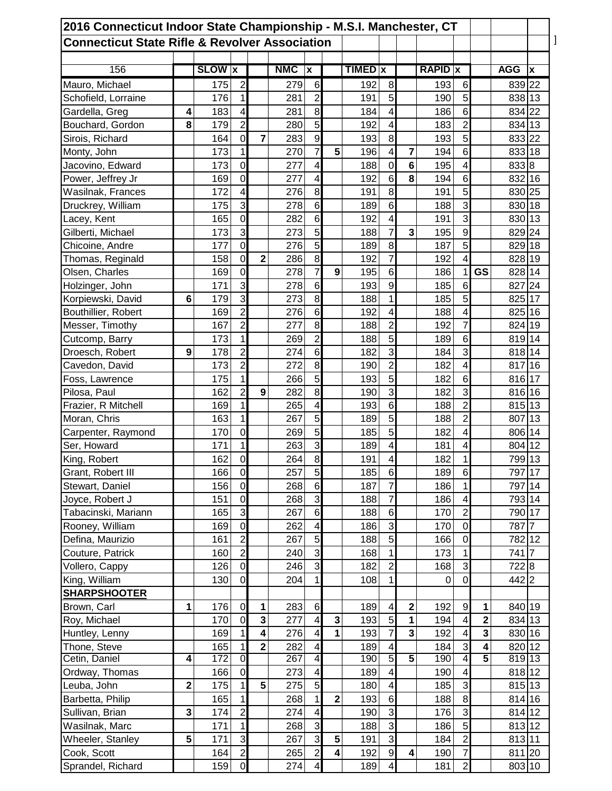| 2016 Connecticut Indoor State Championship - M.S.I. Manchester, CT<br><b>Connecticut State Rifle &amp; Revolver Association</b> |                         |               |                |                         |            |                         |                         |                |                         |                |                |                          |                         |            |                           |
|---------------------------------------------------------------------------------------------------------------------------------|-------------------------|---------------|----------------|-------------------------|------------|-------------------------|-------------------------|----------------|-------------------------|----------------|----------------|--------------------------|-------------------------|------------|---------------------------|
|                                                                                                                                 |                         |               |                |                         |            |                         |                         |                |                         |                |                |                          |                         |            |                           |
| 156                                                                                                                             |                         | <b>SLOW x</b> |                |                         | <b>NMC</b> | ١x                      |                         | <b>TIMED</b> x |                         |                | <b>RAPID</b> x |                          |                         | <b>AGG</b> | $\boldsymbol{\mathsf{x}}$ |
| Mauro, Michael                                                                                                                  |                         | 175           | $\overline{2}$ |                         | 279        | $6\phantom{1}$          |                         | 192            | 8                       |                | 193            | 6                        |                         | 839 22     |                           |
| Schofield, Lorraine                                                                                                             |                         | 176           | 1              |                         | 281        | 2                       |                         | 191            | 5                       |                | 190            | 5                        |                         | 838 13     |                           |
| Gardella, Greg                                                                                                                  | 4                       | 183           | 4              |                         | 281        | 8                       |                         | 184            | 4                       |                | 186            | 6                        |                         | 834 22     |                           |
| Bouchard, Gordon                                                                                                                | 8                       | 179           | $\overline{2}$ |                         | 280        | 5                       |                         | 192            | 4                       |                | 183            | $\overline{2}$           |                         | 834 13     |                           |
| Sirois, Richard                                                                                                                 |                         | 164           | $\mathbf 0$    | $\overline{7}$          | 283        | $\boldsymbol{9}$        |                         | 193            | 8                       |                | 193            | 5                        |                         | 833 22     |                           |
| Monty, John                                                                                                                     |                         | 173           | 1              |                         | 270        | $\overline{7}$          | 5                       | 196            | 4                       | 7              | 194            | $6\phantom{1}$           |                         | 833 18     |                           |
| Jacovino, Edward                                                                                                                |                         | 173           | $\mathbf 0$    |                         | 277        | 4                       |                         | 188            | 0                       | 6              | 195            | 4                        |                         | 833 8      |                           |
| Power, Jeffrey Jr                                                                                                               |                         | 169           | $\mathbf 0$    |                         | 277        | 4                       |                         | 192            | 6                       | 8              | 194            | 6                        |                         | 832 16     |                           |
| Wasilnak, Frances                                                                                                               |                         | 172           | 4              |                         | 276        | 8                       |                         | 191            | 8                       |                | 191            | 5                        |                         | 830 25     |                           |
| Druckrey, William                                                                                                               |                         | 175           | 3              |                         | 278        | $\,6$                   |                         | 189            | 6                       |                | 188            | 3                        |                         | 830 18     |                           |
| Lacey, Kent                                                                                                                     |                         | 165           | $\mathbf 0$    |                         | 282        | $\,6$                   |                         | 192            | 4                       |                | 191            | 3                        |                         | 830 13     |                           |
| Gilberti, Michael                                                                                                               |                         | 173           | $\mathbf{3}$   |                         | 273        | 5                       |                         | 188            | 7                       | 3              | 195            | 9                        |                         | 829 24     |                           |
| Chicoine, Andre                                                                                                                 |                         | 177           | $\mathbf 0$    |                         | 276        | 5                       |                         | 189            | 8                       |                | 187            | 5                        |                         | 829 18     |                           |
| Thomas, Reginald                                                                                                                |                         | 158           | $\mathbf 0$    | $\mathbf{2}$            | 286        | 8                       |                         | 192            | 7                       |                | 192            | 4                        |                         | 828 19     |                           |
| Olsen, Charles                                                                                                                  |                         | 169           | $\mathbf 0$    |                         | 278        | $\overline{7}$          | 9                       | 195            | $\,6$                   |                | 186            | 1                        | <b>GS</b>               | 828 14     |                           |
| Holzinger, John                                                                                                                 |                         | 171           | 3              |                         | 278        | $\,6$                   |                         | 193            | $\boldsymbol{9}$        |                | 185            | $6\phantom{1}$           |                         | 827        | 24                        |
| Korpiewski, David                                                                                                               | 6                       | 179           | 3              |                         | 273        | 8                       |                         | 188            | 1                       |                | 185            | 5                        |                         | 825 17     |                           |
| Bouthillier, Robert                                                                                                             |                         | 169           | $\overline{2}$ |                         | 276        | $\,6$                   |                         | 192            | 4                       |                | 188            | 4                        |                         | 825 16     |                           |
| Messer, Timothy                                                                                                                 |                         | 167           | $\overline{2}$ |                         | 277        | 8                       |                         | 188            | $\overline{c}$          |                | 192            | 7                        |                         | 824 19     |                           |
| Cutcomp, Barry                                                                                                                  |                         | 173           | 1              |                         | 269        | $\overline{c}$          |                         | 188            | $\overline{5}$          |                | 189            | $6\phantom{1}$           |                         | 819 14     |                           |
| Droesch, Robert                                                                                                                 | 9                       | 178           | $\overline{2}$ |                         | 274        | $\,6$                   |                         | 182            | $\overline{3}$          |                | 184            | 3                        |                         | 818 14     |                           |
| Cavedon, David                                                                                                                  |                         | 173           | $\overline{2}$ |                         | 272        | 8                       |                         | 190            | $\overline{2}$          |                | 182            | 4                        |                         | 817        | 16                        |
| Foss, Lawrence                                                                                                                  |                         | 175           | $\mathbf{1}$   |                         | 266        | 5                       |                         | 193            | 5                       |                | 182            | $6\phantom{1}$           |                         | 816 17     |                           |
| Pilosa, Paul                                                                                                                    |                         | 162           | 2              | 9                       | 282        | 8                       |                         | 190            | 3                       |                | 182            | 3                        |                         | 816 16     |                           |
| Frazier, R Mitchell                                                                                                             |                         | 169           | 1              |                         | 265        | 4                       |                         | 193            | 6                       |                | 188            | $\overline{2}$           |                         | 815 13     |                           |
| Moran, Chris                                                                                                                    |                         | 163           | 1              |                         | 267        | 5                       |                         | 189            | 5                       |                | 188            | $\overline{2}$           |                         | 807        | 13                        |
| Carpenter, Raymond                                                                                                              |                         | 170           | $\mathbf 0$    |                         | 269        | 5                       |                         | 185            | 5                       |                | 182            | 4                        |                         | 806 14     |                           |
| Ser, Howard                                                                                                                     |                         | 171           | 1              |                         | 263        | 3                       |                         | 189            | 4                       |                | 181            | 4                        |                         | 804 12     |                           |
| King, Robert                                                                                                                    |                         | 162           | $\overline{0}$ |                         | 264        | 8 <sup>1</sup>          |                         | 191            | $\overline{4}$          |                | 182            | $\mathbf{1}$             |                         | 799 13     |                           |
| Grant, Robert III                                                                                                               |                         | 166           | $\overline{0}$ |                         | 257        | 5                       |                         | 185            | $\,6$                   |                | 189            | $6\phantom{1}6$          |                         | 797 17     |                           |
| Stewart, Daniel                                                                                                                 |                         | 156           | $\mathbf 0$    |                         | 268        | $\,6$                   |                         | 187            | $\overline{7}$          |                | 186            | 1                        |                         | 797 14     |                           |
| Joyce, Robert J                                                                                                                 |                         | 151           | $\mathbf 0$    |                         | 268        | $\mathbf{3}$            |                         | 188            | $\overline{7}$          |                | 186            | 4                        |                         | 793 14     |                           |
| Tabacinski, Mariann                                                                                                             |                         | 165           | ω              |                         | 267        | $\sigma$                |                         | 188            | $\sigma$                |                | 170            | $\overline{2}$           |                         | 790 17     |                           |
| Rooney, William                                                                                                                 |                         | 169           | $\mathbf 0$    |                         | 262        | $\overline{\mathbf{4}}$ |                         | 186            | ω                       |                | 170            | $\mathbf 0$              |                         | 787 7      |                           |
| Defina, Maurizio                                                                                                                |                         | 161           | $\overline{2}$ |                         | 267        | $\sigma$                |                         | 188            | $\overline{5}$          |                | 166            | $\mathbf 0$              |                         | 782 12     |                           |
| Couture, Patrick                                                                                                                |                         | 160           | $\overline{2}$ |                         | 240        | دن                      |                         | 168            | 1                       |                | 173            | $\mathbf 1$              |                         | 741 7      |                           |
| Vollero, Cappy                                                                                                                  |                         | 126           | $\overline{0}$ |                         | 246        | $\overline{3}$          |                         | 182            | $\overline{c}$          |                | 168            | ω                        |                         | 7228       |                           |
| King, William                                                                                                                   |                         | 130           | $\mathbf 0$    |                         | 204        | 1                       |                         | 108            | 1                       |                | $\mathbf 0$    | $\mathbf 0$              |                         | 442 2      |                           |
| <b>SHARPSHOOTER</b>                                                                                                             |                         |               |                |                         |            |                         |                         |                |                         |                |                |                          |                         |            |                           |
| Brown, Carl                                                                                                                     | 1                       | 176           | $\mathbf 0$    | 1                       | 283        | $6\phantom{1}$          |                         | 189            | 4                       | $\bf 2$        | 192            | $\overline{9}$           | $\mathbf 1$             | 840 19     |                           |
| Roy, Michael                                                                                                                    |                         | 170           | $\mathbf 0$    | $\mathbf{3}$            | 277        | $\overline{\mathbf{4}}$ | 3                       | 193            | $\sqrt{5}$              | 1              | 194            | $\overline{\mathbf{4}}$  | $\mathbf 2$             | 834 13     |                           |
| Huntley, Lenny                                                                                                                  |                         | 169           | 1              | $\overline{\mathbf{4}}$ | 276        | $\overline{\mathbf{4}}$ | 1                       | 193            | $\overline{7}$          | 3 <sup>1</sup> | 192            | $\overline{\mathbf{4}}$  | $\mathbf{3}$            | 830 16     |                           |
| Thone, Steve                                                                                                                    |                         | 165           | 1              | $\overline{\mathbf{2}}$ | 282        | $\overline{\mathbf{4}}$ |                         | 189            | 4                       |                | 184            | $\mathbf{3}$             | $\overline{\mathbf{4}}$ | 820 12     |                           |
| Cetin, Daniel                                                                                                                   | $\overline{\mathbf{4}}$ | 172           | $\overline{0}$ |                         | 267        | $\overline{4}$          |                         | 190            | 5                       | $\overline{5}$ | 190            | $\overline{\mathcal{A}}$ | $\overline{5}$          | 819 13     |                           |
| Ordway, Thomas                                                                                                                  |                         | 166           | $\mathbf 0$    |                         | 273        | $\overline{\mathbf{4}}$ |                         | 189            | 4                       |                | 190            | $\overline{\mathbf{4}}$  |                         | 818 12     |                           |
| Leuba, John                                                                                                                     | $\overline{\mathbf{2}}$ | 175           | 1              | 5                       | 275        | 5                       |                         | 180            | 4                       |                | 185            | 3                        |                         | 815 13     |                           |
| Barbetta, Philip                                                                                                                |                         | 165           | 1              |                         | 268        | 1                       | $\mathbf 2$             | 193            | $\,6$                   |                | 188            | $\bf{8}$                 |                         | 814 16     |                           |
| Sullivan, Brian                                                                                                                 | 3                       | 174           | $\overline{c}$ |                         | 274        | $\overline{\mathbf{4}}$ |                         | 190            | $\mathbf{3}$            |                | 176            | 3                        |                         | 814 12     |                           |
| Wasilnak, Marc                                                                                                                  |                         | 171           | $\mathbf{1}$   |                         | 268        | $\overline{3}$          |                         | 188            | $\mathbf{3}$            |                | 186            | 5                        |                         | 813 12     |                           |
| Wheeler, Stanley                                                                                                                | 5                       | 171           | $\mathbf{3}$   |                         | 267        | $\overline{3}$          | 5                       | 191            | ω                       |                | 184            | $\overline{2}$           |                         | 813 11     |                           |
| Cook, Scott                                                                                                                     |                         | 164           | $\overline{c}$ |                         | 265        | $\mathbf{2}$            | $\overline{\mathbf{4}}$ | 192            | $\overline{9}$          | 4              | 190            | $\overline{7}$           |                         | 811 20     |                           |
| Sprandel, Richard                                                                                                               |                         | 159           | $\overline{0}$ |                         | 274        | $\overline{\mathbf{4}}$ |                         | 189            | $\overline{\mathbf{4}}$ |                | 181            | $\overline{2}$           |                         | 803 10     |                           |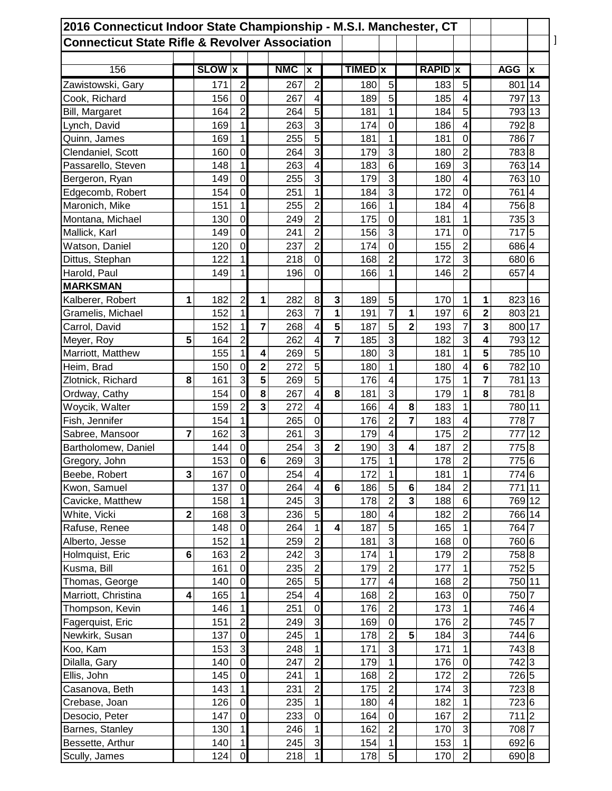| 2016 Connecticut Indoor State Championship - M.S.I. Manchester, CT |             |               |                |                         |            |                         |                         |                |                         |                |                |                |                |                |                |
|--------------------------------------------------------------------|-------------|---------------|----------------|-------------------------|------------|-------------------------|-------------------------|----------------|-------------------------|----------------|----------------|----------------|----------------|----------------|----------------|
| <b>Connecticut State Rifle &amp; Revolver Association</b>          |             |               |                |                         |            |                         |                         |                |                         |                |                |                |                |                |                |
| 156                                                                |             | <b>SLOW x</b> |                |                         | <b>NMC</b> | x                       |                         | <b>TIMED x</b> |                         |                | <b>RAPID x</b> |                |                | <b>AGG</b>     | X              |
| Zawistowski, Gary                                                  |             | 171           | $\overline{2}$ |                         | 267        | $\overline{2}$          |                         | 180            | 5                       |                | 183            | 5              |                | 801            | 14             |
| Cook, Richard                                                      |             | 156           | $\mathbf 0$    |                         | 267        | $\overline{\mathbf{4}}$ |                         | 189            | 5                       |                | 185            | 4              |                | 797            | 13             |
| Bill, Margaret                                                     |             | 164           | $\overline{2}$ |                         | 264        | 5                       |                         | 181            | 1                       |                | 184            | 5              |                | 793 13         |                |
|                                                                    |             | 169           | 1              |                         | 263        | 3                       |                         | 174            | $\mathbf 0$             |                | 186            | 4              |                | 792 8          |                |
| Lynch, David                                                       |             |               | 1              |                         |            | 5                       |                         |                | 1                       |                | 181            | $\mathbf 0$    |                |                |                |
| Quinn, James                                                       |             | 169           | $\mathbf 0$    |                         | 255<br>264 | 3                       |                         | 181            | 3                       |                | 180            | $\overline{2}$ |                | 786 7<br>783 8 |                |
| Clendaniel, Scott                                                  |             | 160           |                |                         |            |                         |                         | 179            | $6\phantom{1}6$         |                |                |                |                |                |                |
| Passarello, Steven                                                 |             | 148           | 1              |                         | 263        | $\overline{\mathbf{4}}$ |                         | 183            |                         |                | 169            | 3              |                | 763 14         |                |
| Bergeron, Ryan                                                     |             | 149           | $\mathbf 0$    |                         | 255        | 3                       |                         | 179            | 3                       |                | 180            | 4              |                | 763            | 10             |
| Edgecomb, Robert                                                   |             | 154           | $\mathbf 0$    |                         | 251        | $\mathbf{1}$            |                         | 184            | 3                       |                | 172            | $\mathbf 0$    |                | 761            | $\overline{4}$ |
| Maronich, Mike                                                     |             | 151           | 1              |                         | 255        | $\overline{2}$          |                         | 166            | 1                       |                | 184            | 4              |                | 756 8          |                |
| Montana, Michael                                                   |             | 130           | $\mathbf 0$    |                         | 249        | $\overline{2}$          |                         | 175            | $\mathbf 0$             |                | 181            | 1              |                | 735 3          |                |
| Mallick, Karl                                                      |             | 149           | $\mathbf 0$    |                         | 241        | $\overline{2}$          |                         | 156            | 3                       |                | 171            | $\mathbf 0$    |                | 717 5          |                |
| Watson, Daniel                                                     |             | 120           | $\mathbf 0$    |                         | 237        | $\overline{2}$          |                         | 174            | $\mathbf 0$             |                | 155            | $\overline{2}$ |                | 686 4          |                |
| Dittus, Stephan                                                    |             | 122           | 1              |                         | 218        | $\mathbf 0$             |                         | 168            | $\overline{2}$          |                | 172            | 3              |                | 680 6          |                |
| Harold, Paul                                                       |             | 149           | 1              |                         | 196        | $\mathbf 0$             |                         | 166            | 1                       |                | 146            | $\overline{2}$ |                | 657            | $\overline{4}$ |
| <b>MARKSMAN</b>                                                    |             |               |                |                         |            |                         |                         |                |                         |                |                |                |                |                |                |
| Kalberer, Robert                                                   | 1           | 182           | $\overline{a}$ | 1                       | 282        | 8                       | 3                       | 189            | 5                       |                | 170            | 1              | 1              | 823 16         |                |
| Gramelis, Michael                                                  |             | 152           | 1              |                         | 263        | $\overline{7}$          | 1                       | 191            | $\overline{7}$          | 1              | 197            | $6\phantom{1}$ | $\overline{2}$ | 803 21         |                |
| Carrol, David                                                      |             | 152           | 1              | $\overline{7}$          | 268        | $\overline{\mathbf{4}}$ | 5                       | 187            | 5                       | $\overline{2}$ | 193            | $\overline{7}$ | 3              | 800 17         |                |
| Meyer, Roy                                                         | 5           | 164           | $\overline{2}$ |                         | 262        | 4                       | $\overline{7}$          | 185            | 3                       |                | 182            | 3              | 4              | 793 12         |                |
| Marriott, Matthew                                                  |             | 155           | 1              | 4                       | 269        | 5                       |                         | 180            | 3                       |                | 181            | 1              | 5              | 785 10         |                |
| Heim, Brad                                                         |             | 150           | $\mathbf 0$    | $\overline{\mathbf{c}}$ | 272        | 5                       |                         | 180            | 1                       |                | 180            | 4              | 6              | 782            | 10             |
| Zlotnick, Richard                                                  | 8           | 161           | 3              | 5                       | 269        | $\overline{5}$          |                         | 176            | 4                       |                | 175            | 1              | 7              | 781            | 13             |
| Ordway, Cathy                                                      |             | 154           | $\mathbf 0$    | 8                       | 267        | $\overline{\mathbf{4}}$ | 8                       | 181            | 3                       |                | 179            | 1              | 8              | 781            | 8              |
| Woycik, Walter                                                     |             | 159           | $\overline{2}$ | $\overline{\mathbf{3}}$ | 272        | $\overline{\mathbf{4}}$ |                         | 166            | $\overline{\mathbf{4}}$ | 8              | 183            | 1              |                | 780 11         |                |
| Fish, Jennifer                                                     |             | 154           | $\mathbf{1}$   |                         | 265        | $\mathbf 0$             |                         | 176            | $\overline{2}$          | $\overline{7}$ | 183            | 4              |                | 778 7          |                |
| Sabree, Mansoor                                                    | 7           | 162           | 3              |                         | 261        | 3                       |                         | 179            | 4                       |                | 175            | $\overline{2}$ |                | 777            | 12             |
| Bartholomew, Daniel                                                |             | 144           | $\mathbf 0$    |                         | 254        | 3                       | $\overline{2}$          | 190            | 3                       | 4              | 187            | $\overline{2}$ |                | 775 8          |                |
| Gregory, John                                                      |             | 153           | $\overline{0}$ | 6                       | 269        | $\overline{3}$          |                         | 175            | $\mathbf{1}$            |                | 178            | $\overline{2}$ |                | 775 6          |                |
| Beebe, Robert                                                      | 3           | 167           | $\overline{0}$ |                         | 254        | $\overline{\mathbf{4}}$ |                         | 172            | $\mathbf{1}$            |                | 181            | 1              |                | 774 6          |                |
| Kwon, Samuel                                                       |             | 137           | $\mathbf 0$    |                         | 264        | $\overline{\mathbf{4}}$ | $6\phantom{1}$          | 186            | $\overline{5}$          | $\bf 6$        | 184            | $\overline{c}$ |                | 771            | 11             |
| Cavicke, Matthew                                                   |             | 158           | $\mathbf{1}$   |                         | 245        | $\mathbf{3}$            |                         | 178            | $\mathbf 2$             | 3              | 188            | $\,6$          |                | 769 12         |                |
| White, Vicki                                                       | $\mathbf 2$ | 168           | 3              |                         | 236        | $\overline{5}$          |                         | 180            | $\overline{\mathbf{4}}$ |                | 182            | $\overline{2}$ |                | 766 14         |                |
| Rafuse, Renee                                                      |             | 148           | $\mathbf 0$    |                         | 264        | $\mathbf{1}$            | $\overline{\mathbf{4}}$ | 187            | $\overline{5}$          |                | 165            | $\mathbf 1$    |                | 764 7          |                |
| Alberto, Jesse                                                     |             | 152           | $\mathbf{1}$   |                         | 259        | $\overline{2}$          |                         | 181            | 3                       |                | 168            | $\mathbf 0$    |                | 760 6          |                |
| Holmquist, Eric                                                    | 6           | 163           | $\overline{c}$ |                         | 242        | 3                       |                         | 174            | $\mathbf 1$             |                | 179            | $\overline{c}$ |                | 758 8          |                |
| Kusma, Bill                                                        |             | 161           | $\overline{0}$ |                         | 235        | $\overline{c}$          |                         | 179            | $\overline{2}$          |                | 177            | $\mathbf 1$    |                | 752 5          |                |
| Thomas, George                                                     |             | 140           | $\overline{0}$ |                         | 265        | $\overline{5}$          |                         | 177            | $\overline{\mathbf{4}}$ |                | 168            | $\overline{2}$ |                | 750 11         |                |
| Marriott, Christina                                                | 4           | 165           | $\mathbf{1}$   |                         | 254        | $\overline{\mathbf{4}}$ |                         | 168            | $\overline{c}$          |                | 163            | $\mathbf 0$    |                | 750 7          |                |
| Thompson, Kevin                                                    |             | 146           | $\mathbf{1}$   |                         | 251        | $\mathbf 0$             |                         | 176            | $\overline{2}$          |                | 173            | 1              |                | 746 4          |                |
| Fagerquist, Eric                                                   |             | 151           | $\overline{c}$ |                         | 249        | $\mathsf 3$             |                         | 169            | $\mathbf 0$             |                | 176            | $\overline{2}$ |                | 745 7          |                |
|                                                                    |             | 137           | $\overline{0}$ |                         | 245        | $\mathbf{1}$            |                         | 178            | $\overline{2}$          | 5              |                | $\overline{3}$ |                | 744 6          |                |
| Newkirk, Susan                                                     |             |               | $\overline{3}$ |                         |            | $\mathbf{1}$            |                         | 171            | ω                       |                | 184<br>171     | $\overline{1}$ |                |                |                |
| Koo, Kam                                                           |             | 153           | $\mathbf 0$    |                         | 248        |                         |                         |                |                         |                |                |                |                | 743 8          |                |
| Dilalla, Gary                                                      |             | 140           |                |                         | 247        | $\overline{2}$          |                         | 179            | 1                       |                | 176            | $\mathbf 0$    |                | 742 3          |                |
| Ellis, John                                                        |             | 145           | $\mathbf 0$    |                         | 241        | $\mathbf{1}$            |                         | 168            | $\overline{2}$          |                | 172            | $\overline{2}$ |                | 726 5          |                |
| Casanova, Beth                                                     |             | 143           | $\mathbf{1}$   |                         | 231        | $\overline{c}$          |                         | 175            | $\overline{2}$          |                | 174            | $\overline{3}$ |                | 723 8          |                |
| Crebase, Joan                                                      |             | 126           | $\overline{0}$ |                         | 235        | $\mathbf{1}$            |                         | 180            | $\overline{\mathbf{4}}$ |                | 182            | $\mathbf 1$    |                | 723 6          |                |
| Desocio, Peter                                                     |             | 147           | $\mathbf 0$    |                         | 233        | $\mathbf 0$             |                         | 164            | $\mathbf 0$             |                | 167            | $\overline{2}$ |                | 711 2          |                |
| Barnes, Stanley                                                    |             | 130           | $\mathbf{1}$   |                         | 246        | $\mathbf{1}$            |                         | 162            | $\overline{2}$          |                | 170            | 3              |                | 708 7          |                |
| Bessette, Arthur                                                   |             | 140           | $\mathbf{1}$   |                         | 245        | $\overline{3}$          |                         | 154            | $\mathbf{1}$            |                | 153            | $\mathbf 1$    |                | 692 6          |                |
| Scully, James                                                      |             | 124           | $\overline{0}$ |                         | 218        | $\mathbf{1}$            |                         | 178            | $\overline{5}$          |                | 170            | $\overline{2}$ |                | 690 8          |                |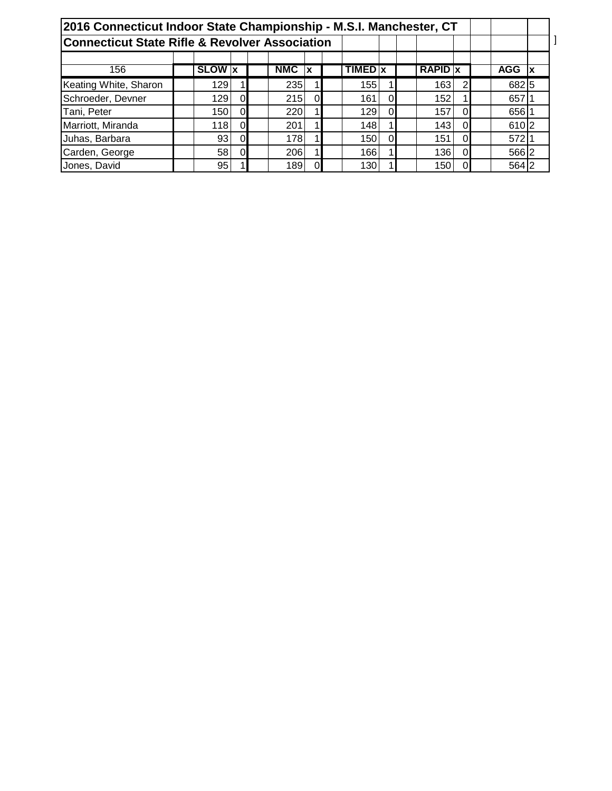| 2016 Connecticut Indoor State Championship - M.S.I. Manchester, CT |                 |             |            |          |                |    |                |   |            |    |  |
|--------------------------------------------------------------------|-----------------|-------------|------------|----------|----------------|----|----------------|---|------------|----|--|
| <b>Connecticut State Rifle &amp; Revolver Association</b>          |                 |             |            |          |                |    |                |   |            |    |  |
| 156                                                                | <b>SLOW</b> X   |             | <b>NMC</b> | X        | <b>TIMED</b> x |    | <b>RAPID x</b> |   | <b>AGG</b> | ١x |  |
| Keating White, Sharon                                              | 129             |             | 235        |          | 155            |    | 163            | ົ | 682 5      |    |  |
| Schroeder, Devner                                                  | 129             | $\Omega$    | 215        | $\Omega$ | 161            | Ol | 152            |   | 657        |    |  |
| Tani, Peter                                                        | 150             | $\Omega$    | 220        |          | 129            | ΩI | 157            |   | 656        |    |  |
| Marriott, Miranda                                                  | 118             | $\mathbf 0$ | 201        |          | 148            |    | 143            | 0 | 610 2      |    |  |
| Juhas, Barbara                                                     | 93 <sub>1</sub> | $\Omega$    | 178        |          | 150            | ΩI | 151            |   | 572 1      |    |  |
| Carden, George                                                     | 58              | $\Omega$    | 206        |          | 166            |    | 136            |   | 566 2      |    |  |
| Jones, David                                                       | 95              |             | 189        |          | 130            |    | 150            |   | 564 2      |    |  |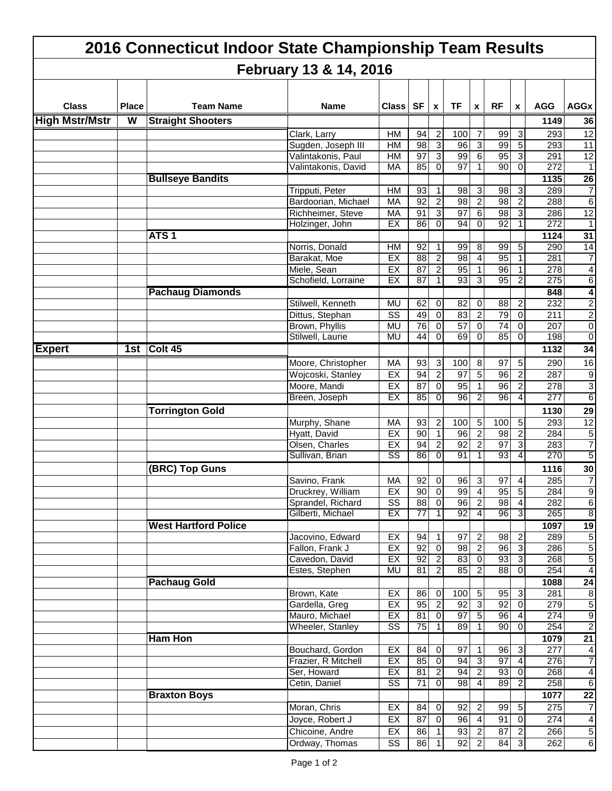|                       | 2016 Connecticut Indoor State Championship Team Results<br>February 13 & 14, 2016 |                             |                             |                        |                       |                                           |                 |                   |                 |                  |                  |                                  |  |  |  |
|-----------------------|-----------------------------------------------------------------------------------|-----------------------------|-----------------------------|------------------------|-----------------------|-------------------------------------------|-----------------|-------------------|-----------------|------------------|------------------|----------------------------------|--|--|--|
|                       |                                                                                   |                             |                             |                        |                       |                                           |                 |                   |                 |                  |                  |                                  |  |  |  |
| <b>Class</b>          | <b>Place</b>                                                                      | <b>Team Name</b>            | Name                        | <b>Class</b>           | <b>SF</b>             | X                                         | <b>TF</b>       | X                 | <b>RF</b>       | X                | <b>AGG</b>       | <b>AGGx</b>                      |  |  |  |
| <b>High Mstr/Mstr</b> | W                                                                                 | <b>Straight Shooters</b>    |                             |                        |                       |                                           |                 |                   |                 |                  | 1149             | 36                               |  |  |  |
|                       |                                                                                   |                             | Clark, Larry                | HМ                     | 94                    | 2                                         | 100             | 7                 | 99              | 3                | 293              | 12                               |  |  |  |
|                       |                                                                                   |                             | Sugden, Joseph III          | HM                     | 98                    | 3                                         | 96              | 3                 | 99              | 5                | 293              | $\overline{11}$                  |  |  |  |
|                       |                                                                                   |                             | Valintakonis, Paul          | HM                     | $\overline{97}$       | 3                                         | 99              | 6                 | 95              | 3                | 291              | $\overline{12}$                  |  |  |  |
|                       |                                                                                   |                             | Valintakonis, David         | MA                     | 85                    | $\mathbf 0$                               | 97              | 1                 | 90              | 0                | 272              | $\overline{1}$                   |  |  |  |
|                       |                                                                                   | <b>Bullseye Bandits</b>     |                             |                        |                       |                                           |                 |                   |                 |                  | 1135             | 26                               |  |  |  |
|                       |                                                                                   |                             | Tripputi, Peter             | HM                     | 93                    | 1                                         | 98              | 3                 | 98              | 3                | 289              | $\overline{7}$                   |  |  |  |
|                       |                                                                                   |                             | Bardoorian, Michael         | MA                     | 92                    | $\overline{c}$                            | 98              | $\boldsymbol{2}$  | 98              | $\overline{c}$   | 288              | $6 \mid$                         |  |  |  |
|                       |                                                                                   |                             | Richheimer, Steve           | MA                     | 91                    | 3                                         | 97              | 6                 | $\overline{98}$ | 3                | 286              | $\overline{12}$                  |  |  |  |
|                       |                                                                                   |                             | Holzinger, John             | EX                     | 86                    | $\mathbf 0$                               | 94              | 0                 | 92              | 1                | $\overline{272}$ | $\overline{1}$                   |  |  |  |
|                       |                                                                                   | ATS <sub>1</sub>            |                             |                        |                       |                                           |                 |                   |                 |                  | 1124             | 31                               |  |  |  |
|                       |                                                                                   |                             | Norris, Donald              | HM                     | 92                    | $\mathbf{1}$                              | 99              | 8                 | 99              | 5                | 290              | 14                               |  |  |  |
|                       |                                                                                   |                             | Barakat, Moe<br>Miele, Sean | EX<br>EX               | $\overline{88}$<br>87 | $\overline{\mathbf{c}}$<br>$\overline{2}$ | 98<br>95        | 4<br>$\mathbf{1}$ | 95<br>96        | 1                | 281<br>278       | $\overline{7}$<br>$\overline{4}$ |  |  |  |
|                       |                                                                                   |                             | Schofield, Lorraine         | EX                     | $\overline{87}$       |                                           | 93              | 3                 | 95              | 2                | 275              | $6\overline{6}$                  |  |  |  |
|                       |                                                                                   | <b>Pachaug Diamonds</b>     |                             |                        |                       |                                           |                 |                   |                 |                  | 848              | $\overline{\mathbf{4}}$          |  |  |  |
|                       |                                                                                   |                             | Stilwell, Kenneth           | <b>MU</b>              | 62                    | 0                                         | 82              | 0                 | 88              | $\overline{2}$   | 232              | $\overline{2}$                   |  |  |  |
|                       |                                                                                   |                             | Dittus, Stephan             | $\overline{\text{ss}}$ | 49                    | $\mathbf 0$                               | 83              | $\overline{2}$    | 79              | $\mathbf 0$      | 211              | $\overline{2}$                   |  |  |  |
|                       |                                                                                   |                             | Brown, Phyllis              | <b>MU</b>              | 76                    | $\overline{0}$                            | 57              | $\mathbf 0$       | 74              | $\mathbf 0$      | 207              | $\overline{0}$                   |  |  |  |
|                       |                                                                                   |                             | Stilwell, Laurie            | MU                     | 44                    | 0                                         | 69              | 0                 | 85              | 0                | 198              | $\overline{0}$                   |  |  |  |
| <b>Expert</b>         |                                                                                   | 1st Colt 45                 |                             |                        |                       |                                           |                 |                   |                 |                  | 1132             | 34                               |  |  |  |
|                       |                                                                                   |                             | Moore, Christopher          | MA                     | 93                    | 3                                         | 100             | 8                 | 97              | 5                | 290              | 16                               |  |  |  |
|                       |                                                                                   |                             | Wojcoski, Stanley           | EX                     | 94                    | $\overline{2}$                            | 97              | 5                 | 96              | $\overline{2}$   | 287              | $\vert 9 \vert$                  |  |  |  |
|                       |                                                                                   |                             | Moore, Mandi                | EX                     | 87                    | $\overline{\mathsf{o}}$                   | 95              | 1                 | 96              | $\overline{2}$   | 278              | $\mathbf{3}$                     |  |  |  |
|                       |                                                                                   |                             | Breen, Joseph               | EX                     | 85                    | $\mathbf 0$                               | 96              | 2                 | 96              | $\boldsymbol{4}$ | 277              | $6 \overline{}$                  |  |  |  |
|                       |                                                                                   | <b>Torrington Gold</b>      |                             |                        |                       |                                           |                 |                   |                 |                  | 1130             | 29                               |  |  |  |
|                       |                                                                                   |                             | Murphy, Shane               | MA                     | 93                    | 2                                         | 100             | 5                 | 100             | 5                | 293              | $\overline{12}$                  |  |  |  |
|                       |                                                                                   |                             | Hyatt, David                | EX                     | 90                    | $\mathbf{1}$                              | 96              | 2                 | 98              | 2                | 284              | $\sqrt{5}$                       |  |  |  |
|                       |                                                                                   |                             | Olsen, Charles              | EX                     | 94                    | $\overline{\mathbf{c}}$                   | 92              | 2                 | $\overline{97}$ | 3                | 283              | $\overline{7}$                   |  |  |  |
|                       |                                                                                   |                             | Sullivan, Brian             | $\overline{\text{ss}}$ | 86                    | 0                                         | 91              | 1                 | 93              | 4                | 270              | $\overline{5}$                   |  |  |  |
|                       |                                                                                   | (BRC) Top Guns              |                             |                        |                       |                                           |                 |                   |                 |                  | 1116             | 30                               |  |  |  |
|                       |                                                                                   |                             | Savino, Frank               | MA                     | 92                    | $\overline{0}$                            | 96              | 3                 | 97              | $\overline{4}$   | 285              | $\overline{7}$                   |  |  |  |
|                       |                                                                                   |                             | Druckrey, William           | EX                     | 90                    | $\mathbf 0$                               | 99              | 4                 | 95              | თ<br>            | 284              | $\overline{9}$                   |  |  |  |
|                       |                                                                                   |                             | Sprandel, Richard           | $\overline{\text{SS}}$ | $\overline{88}$       | $\overline{0}$                            | 96              | $\overline{2}$    | 98              | $\overline{4}$   | 282              | $6 \overline{}$                  |  |  |  |
|                       |                                                                                   |                             | Gilberti, Michael           | EX                     | $\overline{77}$       | 1                                         | 92              | 4                 | 96              | 3                | 265              | $\overline{8}$                   |  |  |  |
|                       |                                                                                   | <b>West Hartford Police</b> |                             |                        |                       |                                           |                 |                   |                 |                  | 1097             | 19                               |  |  |  |
|                       |                                                                                   |                             | Jacovino, Edward            | EX                     | 94                    | 1                                         | 97              | $\boldsymbol{2}$  | 98              | $\overline{2}$   | 289              | $\overline{5}$                   |  |  |  |
|                       |                                                                                   |                             | Fallon, Frank J             | EX                     | 92                    | $\overline{0}$                            | 98              | $\overline{2}$    | 96              | 3                | 286              | $\overline{5}$                   |  |  |  |
|                       |                                                                                   |                             | Cavedon, David              | EX                     | 92                    | $\overline{2}$                            | 83              | $\overline{0}$    | 93              | دن               | 268              | $\overline{5}$                   |  |  |  |
|                       |                                                                                   |                             | Estes, Stephen              | MU                     | 81                    | $\overline{2}$                            | 85              | 2                 | 88              | $\mathbf 0$      | 254              | $\overline{4}$                   |  |  |  |
|                       |                                                                                   | <b>Pachaug Gold</b>         | Brown, Kate                 | EX                     | 86                    | 0                                         | 100             | $\sqrt{5}$        | 95              | 3                | 1088<br>281      | 24<br>$\infty$                   |  |  |  |
|                       |                                                                                   |                             | Gardella, Greg              | EX                     | 95                    | $\overline{2}$                            | 92              | $\overline{3}$    | 92              | $\overline{0}$   | 279              | $\overline{5}$                   |  |  |  |
|                       |                                                                                   |                             | Mauro, Michael              | EX                     | $\overline{81}$       | $\overline{\mathbf{o}}$                   | $\overline{97}$ | $\overline{5}$    | 96              | 4                | 274              | $\overline{9}$                   |  |  |  |
|                       |                                                                                   |                             | Wheeler, Stanley            | $\overline{\text{ss}}$ | 75                    | 1                                         | 89              | 1                 | 90              | $\mathbf 0$      | 254              | $\overline{2}$                   |  |  |  |
|                       |                                                                                   | <b>Ham Hon</b>              |                             |                        |                       |                                           |                 |                   |                 |                  | 1079             | $\overline{21}$                  |  |  |  |
|                       |                                                                                   |                             | Bouchard, Gordon            | EX                     | 84                    | $\overline{0}$                            | 97              | 1                 | 96              | 3                | 277              | $\overline{4}$                   |  |  |  |
|                       |                                                                                   |                             | Frazier, R Mitchell         | EX                     | 85                    | $\overline{0}$                            | 94              | $\mathbf{3}$      | 97              | $\overline{4}$   | 276              | $\overline{7}$                   |  |  |  |
|                       |                                                                                   |                             | Ser, Howard                 | EX                     | 81                    | $\overline{2}$                            | 94              | $\overline{c}$    | 93              | $\mathbf 0$      | 268              | $\vert 4 \vert$                  |  |  |  |
|                       |                                                                                   |                             | Cetin, Daniel               | $\overline{\text{ss}}$ | $\overline{71}$       | $\overline{0}$                            | 98              | 4                 | 89              | $\overline{2}$   | 258              | $6\overline{6}$                  |  |  |  |
|                       |                                                                                   | <b>Braxton Boys</b>         |                             |                        |                       |                                           |                 |                   |                 |                  | 1077             | $\overline{22}$                  |  |  |  |
|                       |                                                                                   |                             | Moran, Chris                | EX                     | 84                    | $\mathbf 0$                               | 92              | $\boldsymbol{2}$  | 99              | $\sqrt{5}$       | 275              | $\overline{7}$                   |  |  |  |
|                       |                                                                                   |                             | Joyce, Robert J             | EX                     | 87                    | $\pmb{0}$                                 | 96              | $\overline{4}$    | 91              | $\mathbf 0$      | 274              | $\vert 4 \vert$                  |  |  |  |
|                       |                                                                                   |                             | Chicoine, Andre             | EX                     | 86                    | $\mathbf{1}$                              | 93              | $\boldsymbol{2}$  | 87              | $\overline{c}$   | 266              | $\overline{5}$                   |  |  |  |
|                       |                                                                                   |                             | Ordway, Thomas              | $\overline{\text{SS}}$ | 86                    | $\mathbf{1}$                              | 92              | $\boldsymbol{2}$  | 84              | $\mathbf{3}$     | 262              | $6\overline{6}$                  |  |  |  |